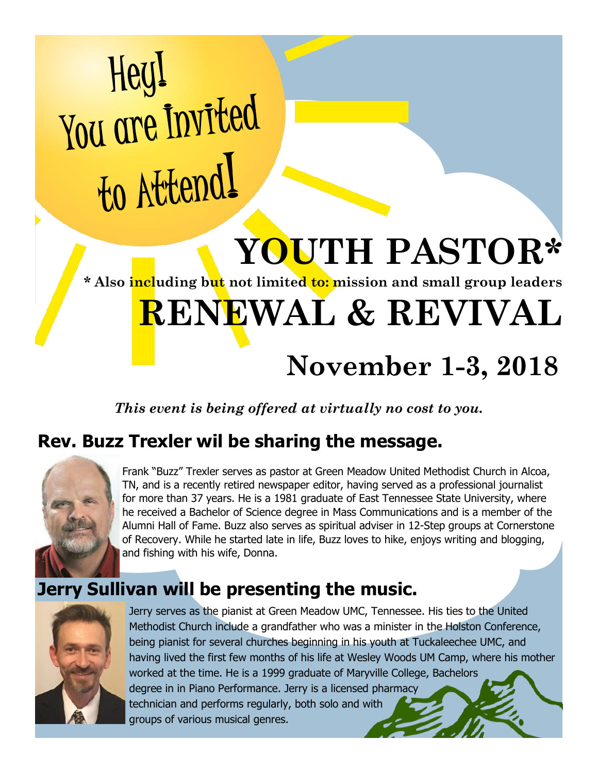# Hey! You are Invited to Attend!

# **YOUTH PASTOR\***

**\* Also including but not limited to: mission and small group leaders** 

## **RENEWAL & REVIVAL**

### **November 1-3, 2018**

*This event is being offered at virtually no cost to you.*

#### **Rev. Buzz Trexler wil be sharing the message.**



Frank "Buzz" Trexler serves as pastor at Green Meadow United Methodist Church in Alcoa, TN, and is a recently retired newspaper editor, having served as a professional journalist for more than 37 years. He is a 1981 graduate of East Tennessee State University, where he received a Bachelor of Science degree in Mass Communications and is a member of the Alumni Hall of Fame. Buzz also serves as spiritual adviser in 12-Step groups at Cornerstone of Recovery. While he started late in life, Buzz loves to hike, enjoys writing and blogging, and fishing with his wife, Donna.

#### **Jerry Sullivan will be presenting the music.**



Jerry serves as the pianist at Green Meadow UMC, Tennessee. His ties to the United Methodist Church include a grandfather who was a minister in the Holston Conference, being pianist for several churches beginning in his youth at Tuckaleechee UMC, and having lived the first few months of his life at Wesley Woods UM Camp, where his mother worked at the time. He is a 1999 graduate of Maryville College, Bachelors degree in in Piano Performance. Jerry is a licensed pharmacy technician and performs regularly, both solo and with groups of various musical genres.